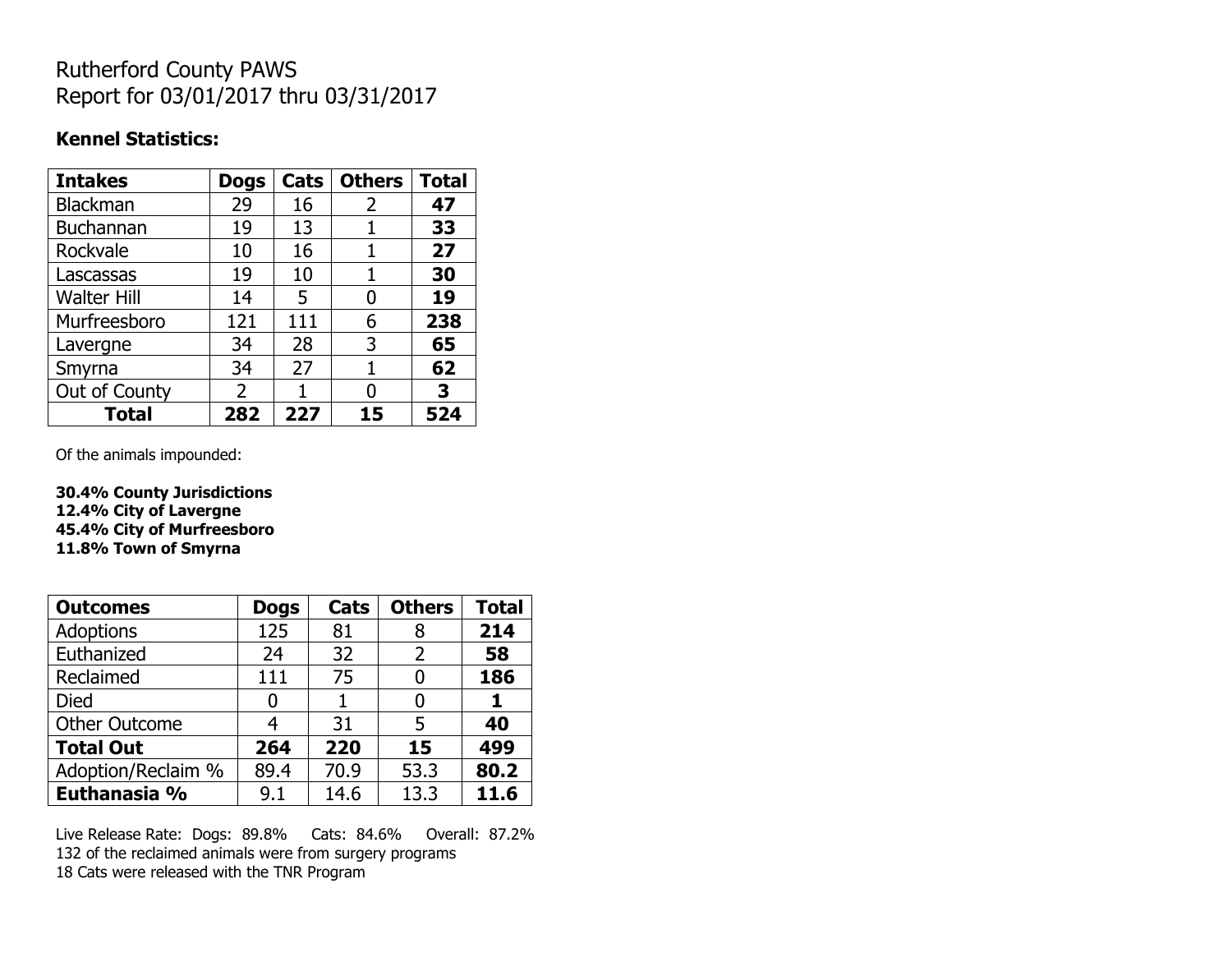## Rutherford County PAWS Report for 03/01/2017 thru 03/31/2017

### **Kennel Statistics:**

| <b>Intakes</b>     | <b>Dogs</b>    | Cats | <b>Others</b> | <b>Total</b> |
|--------------------|----------------|------|---------------|--------------|
| <b>Blackman</b>    | 29             | 16   | 2             | 47           |
| <b>Buchannan</b>   | 19             | 13   |               | 33           |
| Rockvale           | 10             | 16   |               | 27           |
| Lascassas          | 19             | 10   | 1             | 30           |
| <b>Walter Hill</b> | 14             | 5    | 0             | 19           |
| Murfreesboro       | 121            | 111  | 6             | 238          |
| Lavergne           | 34             | 28   | 3             | 65           |
| Smyrna             | 34             | 27   | 1             | 62           |
| Out of County      | $\overline{2}$ | 1    | 0             | 3            |
| Total              | 282            | 227  | 15            | 524          |

Of the animals impounded:

**30.4% County Jurisdictions 12.4% City of Lavergne 45.4% City of Murfreesboro 11.8% Town of Smyrna**

| <b>Outcomes</b>      | <b>Dogs</b> | Cats | <b>Others</b> | <b>Total</b> |
|----------------------|-------------|------|---------------|--------------|
| <b>Adoptions</b>     | 125         | 81   | 8             | 214          |
| Euthanized           | 24          | 32   | 2             | 58           |
| Reclaimed            | 111         | 75   | O             | 186          |
| Died                 | 0           |      |               | 1            |
| <b>Other Outcome</b> | 4           | 31   | 5             | 40           |
| <b>Total Out</b>     | 264         | 220  | 15            | 499          |
| Adoption/Reclaim %   | 89.4        | 70.9 | 53.3          | 80.2         |
| Euthanasia %         | 9.1         | 14.6 | 13.3          | 11.6         |

Live Release Rate: Dogs: 89.8% Cats: 84.6% Overall: 87.2% 132 of the reclaimed animals were from surgery programs 18 Cats were released with the TNR Program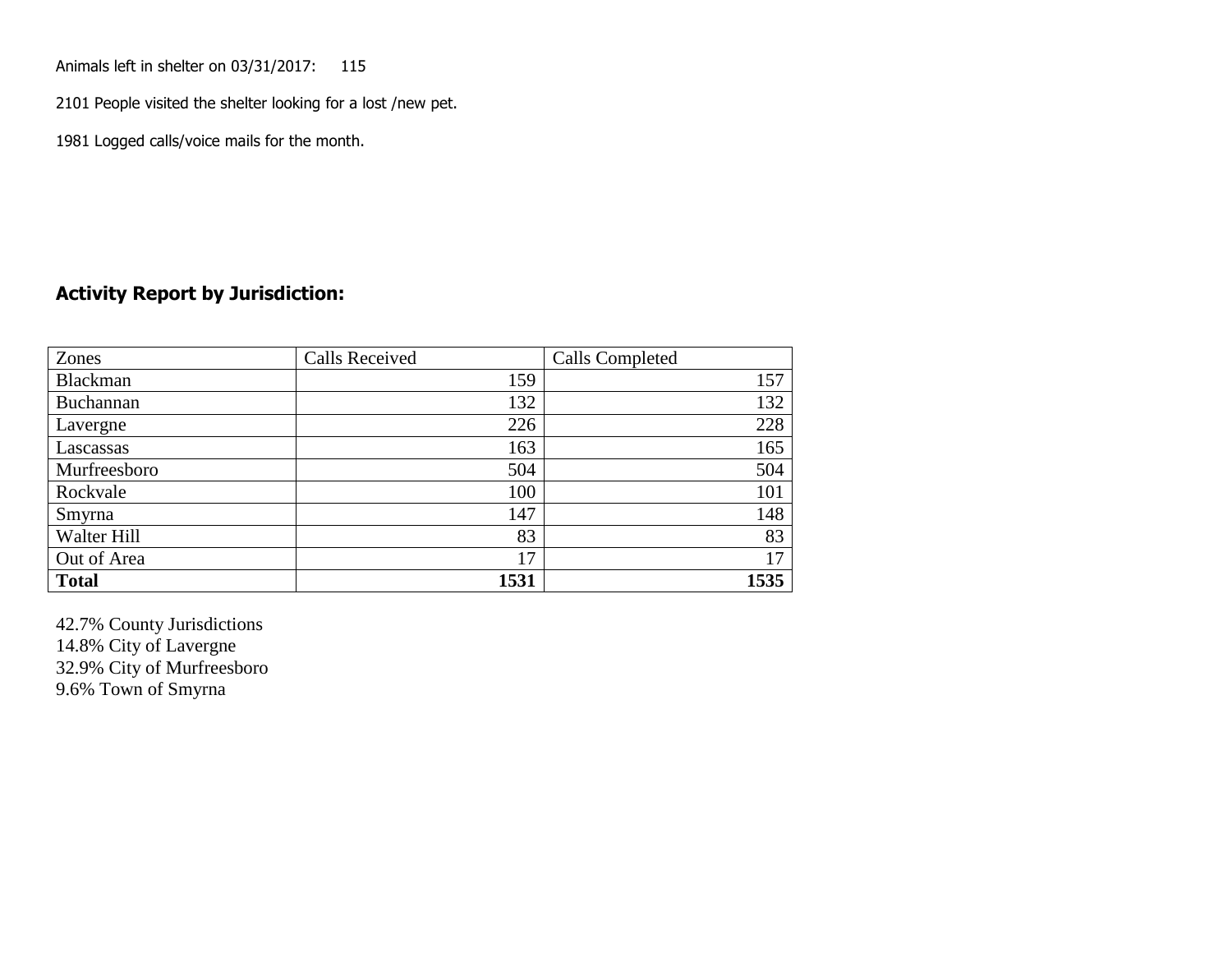Animals left in shelter on 03/31/2017: 115

2101 People visited the shelter looking for a lost /new pet.

1981 Logged calls/voice mails for the month.

#### **Activity Report by Jurisdiction:**

| Zones           | <b>Calls Received</b> | Calls Completed |
|-----------------|-----------------------|-----------------|
| <b>Blackman</b> | 159                   | 157             |
| Buchannan       | 132                   | 132             |
| Lavergne        | 226                   | 228             |
| Lascassas       | 163                   | 165             |
| Murfreesboro    | 504                   | 504             |
| Rockvale        | 100                   | 101             |
| Smyrna          | 147                   | 148             |
| Walter Hill     | 83                    | 83              |
| Out of Area     | 17                    | 17              |
| <b>Total</b>    | 1531                  | 1535            |

42.7% County Jurisdictions 14.8% City of Lavergne 32.9% City of Murfreesboro 9.6% Town of Smyrna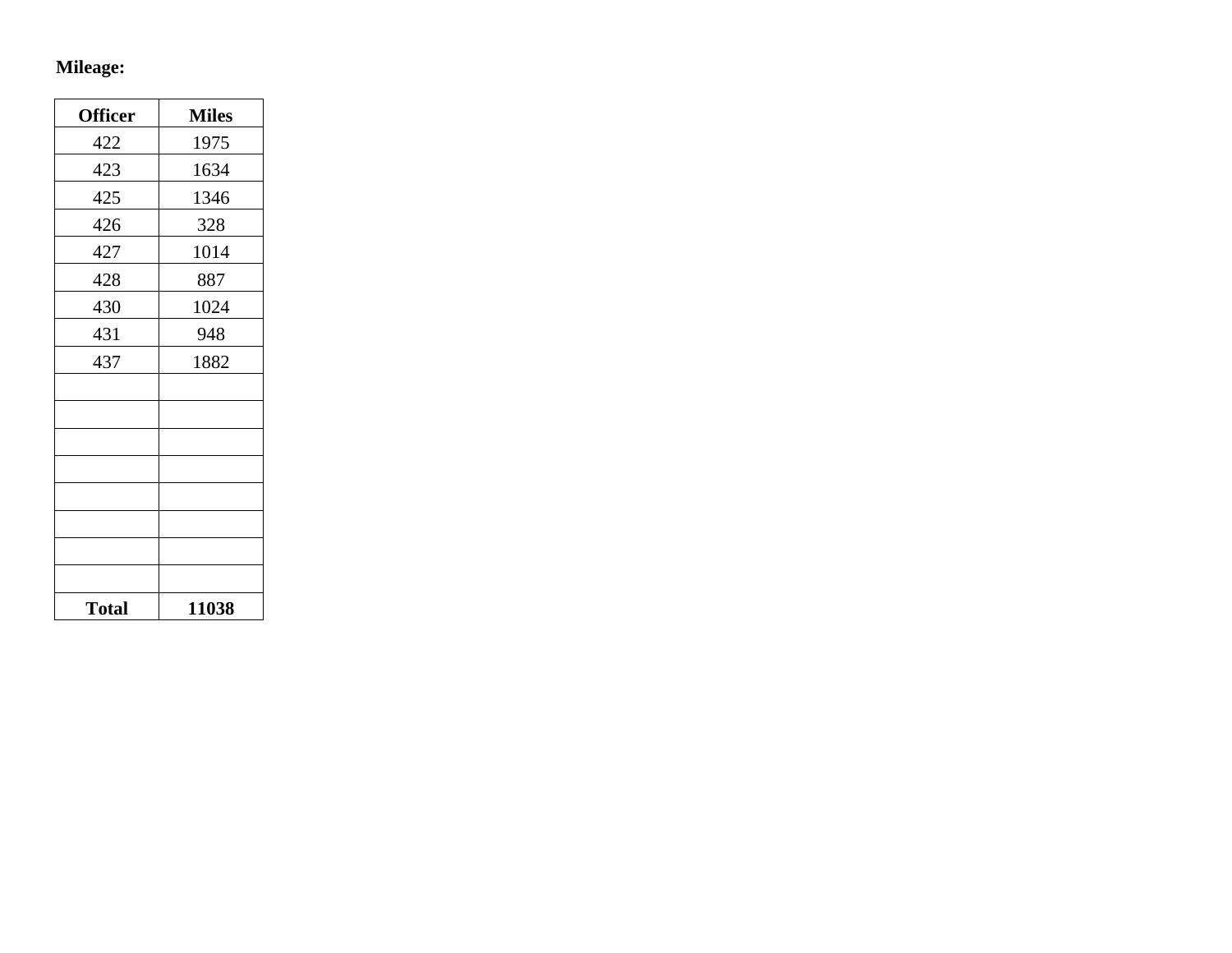# **Mileage:**

| <b>Officer</b> | <b>Miles</b> |
|----------------|--------------|
| 422            | 1975         |
| 423            | 1634         |
| 425            | 1346         |
| 426            | 328          |
| 427            | 1014         |
| 428            | 887          |
| 430            | 1024         |
| 431            | 948          |
| 437            | 1882         |
|                |              |
|                |              |
|                |              |
|                |              |
|                |              |
|                |              |
|                |              |
|                |              |
| <b>Total</b>   | 11038        |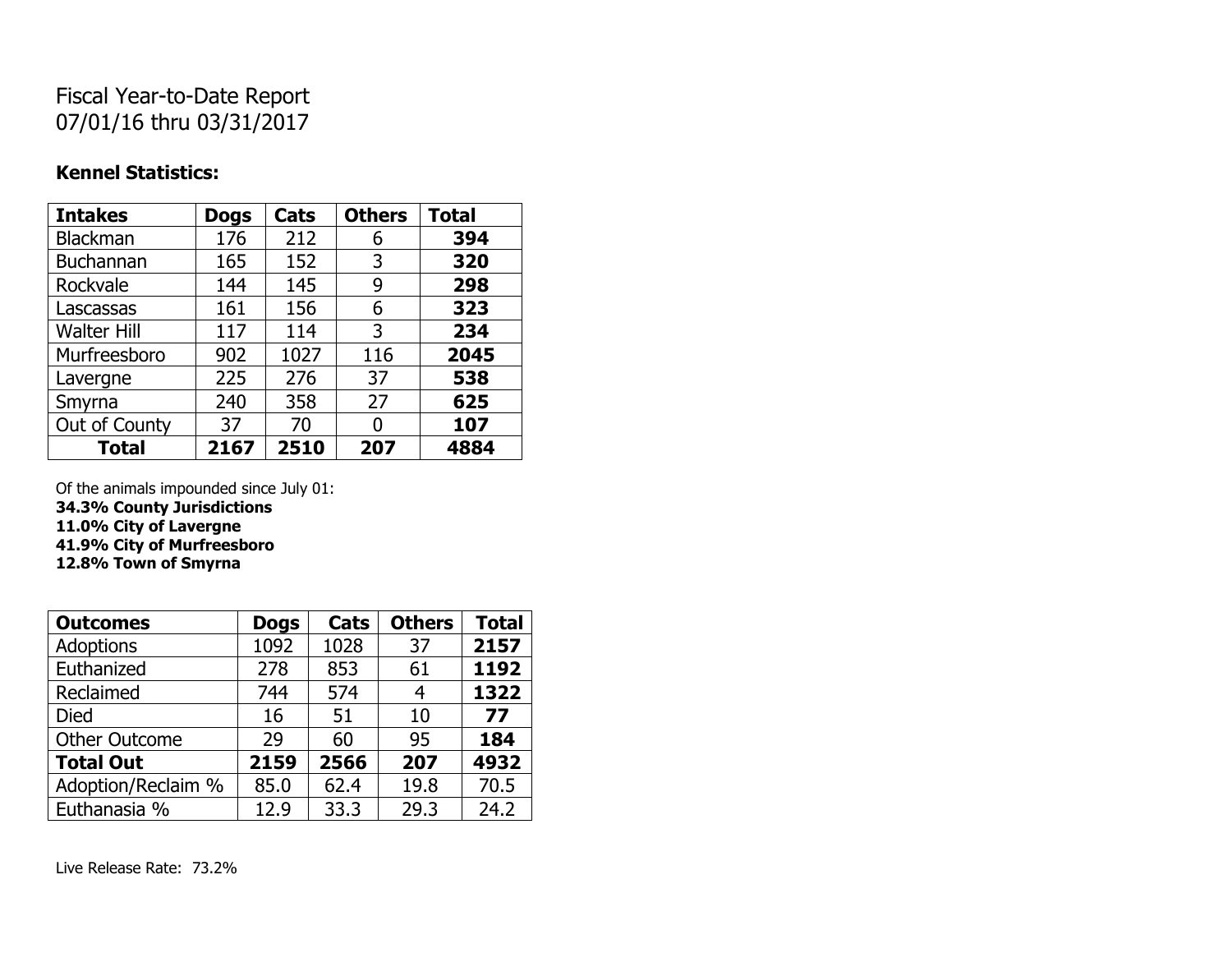## Fiscal Year-to-Date Report 07/01/16 thru 03/31/2017

#### **Kennel Statistics:**

| <b>Intakes</b>     | <b>Dogs</b> | Cats | <b>Others</b> | <b>Total</b> |
|--------------------|-------------|------|---------------|--------------|
| <b>Blackman</b>    | 176         | 212  | 6             | 394          |
| <b>Buchannan</b>   | 165         | 152  | 3             | 320          |
| Rockvale           | 144         | 145  | 9             | 298          |
| Lascassas          | 161         | 156  | 6             | 323          |
| <b>Walter Hill</b> | 117         | 114  | 3             | 234          |
| Murfreesboro       | 902         | 1027 | 116           | 2045         |
| Lavergne           | 225         | 276  | 37            | 538          |
| Smyrna             | 240         | 358  | 27            | 625          |
| Out of County      | 37          | 70   | 0             | 107          |
| <b>Total</b>       | 2167        | 2510 | 207           | 4884         |

Of the animals impounded since July 01:

**34.3% County Jurisdictions**

**11.0% City of Lavergne**

**41.9% City of Murfreesboro**

**12.8% Town of Smyrna**

| <b>Outcomes</b>      | <b>Dogs</b> | Cats | <b>Others</b> | <b>Total</b> |
|----------------------|-------------|------|---------------|--------------|
| <b>Adoptions</b>     | 1092        | 1028 | 37            | 2157         |
| Euthanized           | 278         | 853  | 61            | 1192         |
| Reclaimed            | 744         | 574  | 4             | 1322         |
| <b>Died</b>          | 16          | 51   | 10            | 77           |
| <b>Other Outcome</b> | 29          | 60   | 95            | 184          |
| <b>Total Out</b>     | 2159        | 2566 | 207           | 4932         |
| Adoption/Reclaim %   | 85.0        | 62.4 | 19.8          | 70.5         |
| Euthanasia %         | 12.9        | 33.3 | 29.3          | 24.2         |

Live Release Rate: 73.2%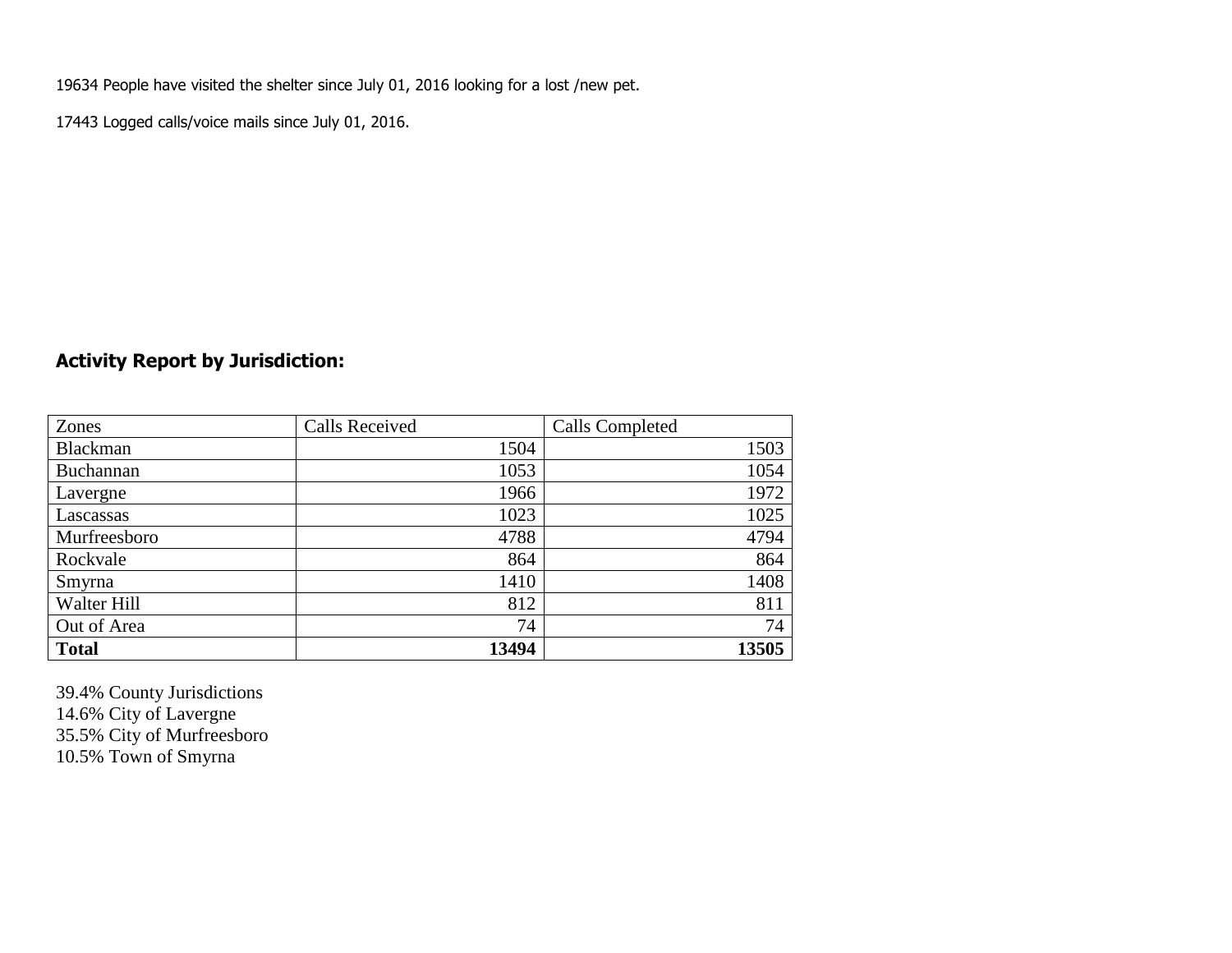19634 People have visited the shelter since July 01, 2016 looking for a lost /new pet.

17443 Logged calls/voice mails since July 01, 2016.

### **Activity Report by Jurisdiction:**

| Zones           | <b>Calls Received</b> | Calls Completed |
|-----------------|-----------------------|-----------------|
| <b>Blackman</b> | 1504                  | 1503            |
| Buchannan       | 1053                  | 1054            |
| Lavergne        | 1966                  | 1972            |
| Lascassas       | 1023                  | 1025            |
| Murfreesboro    | 4788                  | 4794            |
| Rockvale        | 864                   | 864             |
| Smyrna          | 1410                  | 1408            |
| Walter Hill     | 812                   | 811             |
| Out of Area     | 74                    | 74              |
| <b>Total</b>    | 13494                 | 13505           |

39.4% County Jurisdictions 14.6% City of Lavergne 35.5% City of Murfreesboro 10.5% Town of Smyrna